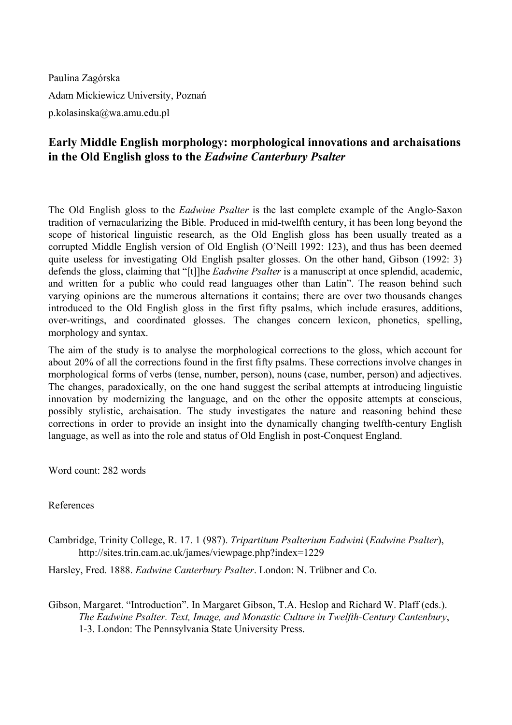Paulina Zagórska Adam Mickiewicz University, Poznań p.kolasinska@wa.amu.edu.pl

## **Early Middle English morphology: morphological innovations and archaisations in the Old English gloss to the** *Eadwine Canterbury Psalter*

The Old English gloss to the *Eadwine Psalter* is the last complete example of the Anglo-Saxon tradition of vernacularizing the Bible. Produced in mid-twelfth century, it has been long beyond the scope of historical linguistic research, as the Old English gloss has been usually treated as a corrupted Middle English version of Old English (O'Neill 1992: 123), and thus has been deemed quite useless for investigating Old English psalter glosses. On the other hand, Gibson (1992: 3) defends the gloss, claiming that "[t]]he *Eadwine Psalter* is a manuscript at once splendid, academic, and written for a public who could read languages other than Latin". The reason behind such varying opinions are the numerous alternations it contains; there are over two thousands changes introduced to the Old English gloss in the first fifty psalms, which include erasures, additions, over-writings, and coordinated glosses. The changes concern lexicon, phonetics, spelling, morphology and syntax.

The aim of the study is to analyse the morphological corrections to the gloss, which account for about 20% of all the corrections found in the first fifty psalms. These corrections involve changes in morphological forms of verbs (tense, number, person), nouns (case, number, person) and adjectives. The changes, paradoxically, on the one hand suggest the scribal attempts at introducing linguistic innovation by modernizing the language, and on the other the opposite attempts at conscious, possibly stylistic, archaisation. The study investigates the nature and reasoning behind these corrections in order to provide an insight into the dynamically changing twelfth-century English language, as well as into the role and status of Old English in post-Conquest England.

Word count: 282 words

References

Cambridge, Trinity College, R. 17. 1 (987). *Tripartitum Psalterium Eadwini* (*Eadwine Psalter*), http://sites.trin.cam.ac.uk/james/viewpage.php?index=1229

Harsley, Fred. 1888. *Eadwine Canterbury Psalter*. London: N. Trübner and Co.

Gibson, Margaret. "Introduction". In Margaret Gibson, T.A. Heslop and Richard W. Plaff (eds.). *The Eadwine Psalter. Text, Image, and Monastic Culture in Twelfth-Century Cantenbury,* 13. London: The Pennsylvania State University Press.